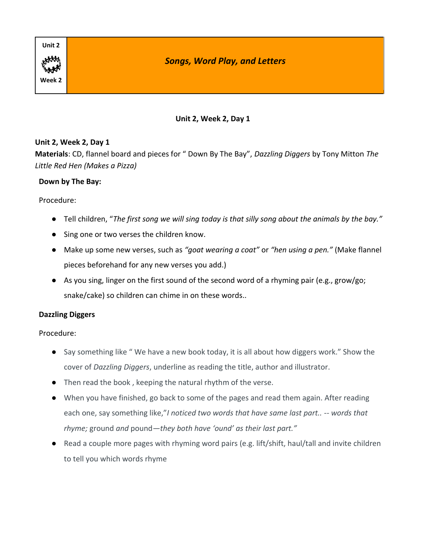

#### **Unit 2, Week 2, Day 1**

**Materials**: CD, flannel board and pieces for " Down By The Bay", *Dazzling Diggers* by Tony Mitton *The Little Red Hen (Makes a Pizza)*

#### **Down by The Bay:**

#### Procedure:

- Tell children, "*The first song we will sing today is that silly song about the animals by the bay."*
- Sing one or two verses the children know.
- Make up some new verses, such as *"goat wearing a coat"* or *"hen using a pen."* (Make flannel pieces beforehand for any new verses you add.)
- As you sing, linger on the first sound of the second word of a rhyming pair (e.g., grow/go; snake/cake) so children can chime in on these words..

### **Dazzling Diggers**

- Say something like "We have a new book today, it is all about how diggers work." Show the cover of *Dazzling Diggers*, underline as reading the title, author and illustrator.
- Then read the book , keeping the natural rhythm of the verse.
- When you have finished, go back to some of the pages and read them again. After reading each one, say something like,"*I noticed two words that have same last part.. -- words that rhyme;* ground *and* pound*—they both have 'ound' as their last part."*
- Read a couple more pages with rhyming word pairs (e.g. lift/shift, haul/tall and invite children to tell you which words rhyme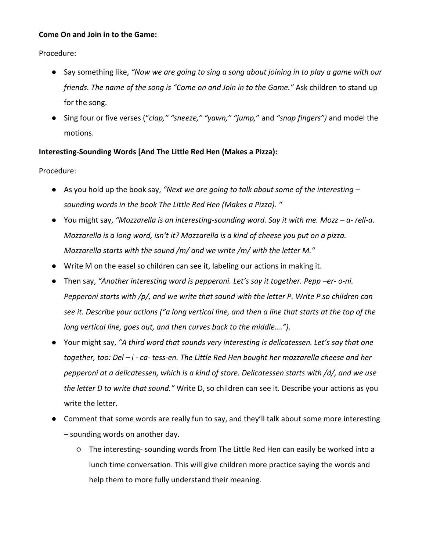#### **Come On and Join in to the Game:**

Procedure:

- Say something like, *"Now we are going to sing a song about joining in to play a game with our friends. The name of the song is "Come on and Join in to the Game."* Ask children to stand up for the song.
- Sing four or five verses ("*clap," "sneeze," "yawn," "jump,*" and *"snap fingers")* and model the motions.

### **Interesting-Sounding Words [And The Little Red Hen (Makes a Pizza):**

- As you hold up the book say, *"Next we are going to talk about some of the interesting – sounding words in the book The Little Red Hen (Makes a Pizza). "*
- You might say, "Mozzarella is an interesting-sounding word. Say it with me. Mozz a- rell-a. *Mozzarella is a long word, isn't it? Mozzarella is a kind of cheese you put on a pizza. Mozzarella starts with the sound /m/ and we write /m/ with the letter M."*
- Write M on the easel so children can see it, labeling our actions in making it.
- Then say, *"Another interesting word is pepperoni. Let's say it together. Pepp –er- o-ni. Pepperoni starts with /p/, and we write that sound with the letter P. Write P so children can see it. Describe your actions ("a long vertical line, and then a line that starts at the top of the long vertical line, goes out, and then curves back to the middle….")*.
- Your might say, *"A third word that sounds very interesting is delicatessen. Let's say that one together, too: Del – i - ca- tess-en. The Little Red Hen bought her mozzarella cheese and her pepperoni at a delicatessen, which is a kind of store. Delicatessen starts with /d/, and we use the letter D to write that sound."* Write D, so children can see it. Describe your actions as you write the letter.
- Comment that some words are really fun to say, and they'll talk about some more interesting – sounding words on another day.
	- The interesting- sounding words from The Little Red Hen can easily be worked into a lunch time conversation. This will give children more practice saying the words and help them to more fully understand their meaning.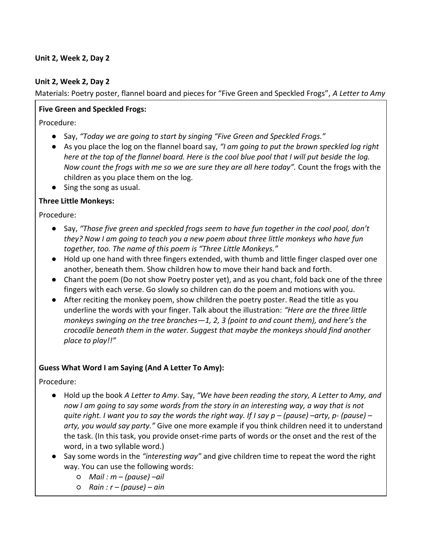#### **Unit 2, Week 2, Day 2**

Materials: Poetry poster, flannel board and pieces for "Five Green and Speckled Frogs", *A Letter to Amy*

#### **Five Green and Speckled Frogs:**

Procedure:

- Say, *"Today we are going to start by singing "Five Green and Speckled Frogs."*
- As you place the log on the flannel board say, *"I am going to put the brown speckled log right here at the top of the flannel board. Here is the cool blue pool that I will put beside the log. Now count the frogs with me so we are sure they are all here today".* Count the frogs with the children as you place them on the log.
- Sing the song as usual.

#### **Three Little Monkeys:**

Procedure:

- Say, *"Those five green and speckled frogs seem to have fun together in the cool pool, don't they? Now I am going to teach you a new poem about three little monkeys who have fun together, too. The name of this poem is "Three Little Monkeys."*
- Hold up one hand with three fingers extended, with thumb and little finger clasped over one another, beneath them. Show children how to move their hand back and forth.
- Chant the poem (Do not show Poetry poster yet), and as you chant, fold back one of the three fingers with each verse. Go slowly so children can do the poem and motions with you.
- After reciting the monkey poem, show children the poetry poster. Read the title as you underline the words with your finger. Talk about the illustration: *"Here are the three little monkeys swinging on the tree branches—1, 2, 3 (point to and count them), and here's the crocodile beneath them in the water. Suggest that maybe the monkeys should find another place to play!!"*

### **Guess What Word I am Saying (And A Letter To Amy):**

- Hold up the book *A Letter to Amy*. Say, *"We have been reading the story, A Letter to Amy, and now I am going to say some words from the story in an interesting way, a way that is not quite right. I want you to say the words the right way. If I say p – (pause) –arty, p- (pause) – arty, you would say party."* Give one more example if you think children need it to understand the task. (In this task, you provide onset-rime parts of words or the onset and the rest of the word, in a two syllable word.)
- Say some words in the *"interesting way"* and give children time to repeat the word the right way. You can use the following words:
	- *Mail : m – (pause) –ail*
	- *Rain : r – (pause) – ain*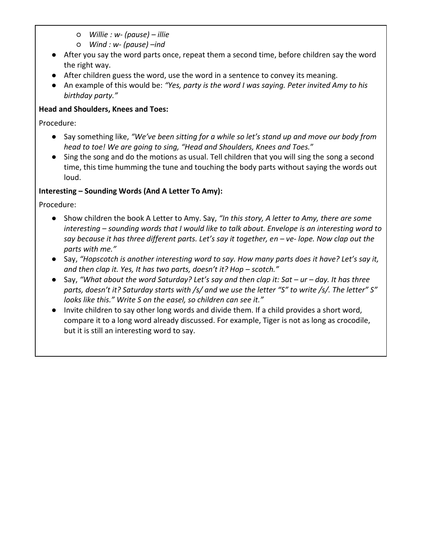- *Willie : w- (pause) – illie*
- *Wind : w- (pause) –ind*
- After you say the word parts once, repeat them a second time, before children say the word the right way.
- After children guess the word, use the word in a sentence to convey its meaning.
- An example of this would be: *"Yes, party is the word I was saying. Peter invited Amy to his birthday party."*

## **Head and Shoulders, Knees and Toes:**

Procedure:

- Say something like, *"We've been sitting for a while so let's stand up and move our body from head to toe! We are going to sing, "Head and Shoulders, Knees and Toes.*"
- Sing the song and do the motions as usual. Tell children that you will sing the song a second time, this time humming the tune and touching the body parts without saying the words out loud.

## **Interesting – Sounding Words (And A Letter To Amy):**

- Show children the book A Letter to Amy. Say, *"In this story, A letter to Amy, there are some interesting – sounding words that I would like to talk about. Envelope is an interesting word to say because it has three different parts. Let's say it together, en – ve-lope. Now clap out the parts with me."*
- Say, "Hopscotch is another interesting word to say. How many parts does it have? Let's say it, *and then clap it. Yes, It has two parts, doesn't it? Hop – scotch."*
- Say, "What about the word Saturday? Let's say and then clap it: Sat *ur* day. It has three *parts, doesn't it? Saturday starts with /s/ and we use the letter "S" to write /s/. The letter" S" looks like this." Write S on the easel, so children can see it."*
- Invite children to say other long words and divide them. If a child provides a short word, compare it to a long word already discussed. For example, Tiger is not as long as crocodile, but it is still an interesting word to say.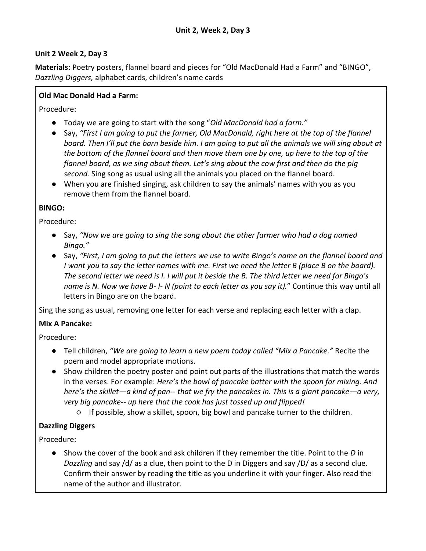**Materials:** Poetry posters, flannel board and pieces for "Old MacDonald Had a Farm" and "BINGO", *Dazzling Diggers,* alphabet cards, children's name cards

### **Old Mac Donald Had a Farm:**

Procedure:

- Today we are going to start with the song "*Old MacDonald had a farm."*
- Say, "First I am going to put the farmer, Old MacDonald, right here at the top of the flannel *board. Then I'll put the barn beside him. I am going to put all the animals we will sing about at the bottom of the flannel board and then move them one by one, up here to the top of the flannel board, as we sing about them. Let's sing about the cow first and then do the pig second.* Sing song as usual using all the animals you placed on the flannel board.
- When you are finished singing, ask children to say the animals' names with you as you remove them from the flannel board.

### **BINGO:**

Procedure:

- Say, *"Now we are going to sing the song about the other farmer who had a dog named Bingo."*
- Say, *"First, I am going to put the letters we use to write Bingo's name on the flannel board and I* want you to say the letter names with me. First we need the letter B (place B on the board). *The second letter we need is I. I will put it beside the B. The third letter we need for Bingo's name is N. Now we have B- I- N (point to each letter as you say it).*" Continue this way until all letters in Bingo are on the board.

Sing the song as usual, removing one letter for each verse and replacing each letter with a clap.

## **Mix A Pancake:**

Procedure:

- Tell children, *"We are going to learn a new poem today called "Mix a Pancake."* Recite the poem and model appropriate motions.
- Show children the poetry poster and point out parts of the illustrations that match the words in the verses. For example: *Here's the bowl of pancake batter with the spoon for mixing. And here's the skillet—a kind of pan-- that we fry the pancakes in. This is a giant pancake—a very, very big pancake-- up here that the cook has just tossed up and flipped!*
	- If possible, show a skillet, spoon, big bowl and pancake turner to the children.

## **Dazzling Diggers**

Procedure:

● Show the cover of the book and ask children if they remember the title. Point to the *D* in *Dazzling* and say /d/ as a clue, then point to the D in Diggers and say /D/ as a second clue. Confirm their answer by reading the title as you underline it with your finger. Also read the name of the author and illustrator.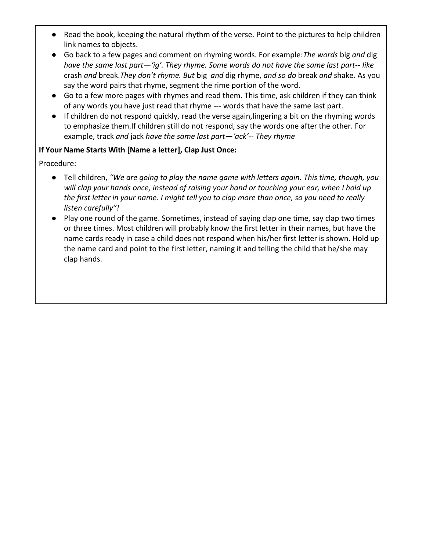- Read the book, keeping the natural rhythm of the verse. Point to the pictures to help children link names to objects.
- Go back to a few pages and comment on rhyming words. For example:*The words* big *and* dig *have the same last part—'ig'. They rhyme. Some words do not have the same last part-- like*  crash *and* break.*They don't rhyme. But* big *and* dig rhyme, *and so do* break *and* shake. As you say the word pairs that rhyme, segment the rime portion of the word.
- Go to a few more pages with rhymes and read them. This time, ask children if they can think of any words you have just read that rhyme --- words that have the same last part.
- If children do not respond quickly, read the verse again,lingering a bit on the rhyming words to emphasize them.If children still do not respond, say the words one after the other. For example, track *and* jack *have the same last part—'ack'-- They rhyme*

### **If Your Name Starts With [Name a letter], Clap Just Once:**

- Tell children, *"We are going to play the name game with letters again. This time, though, you will clap your hands once, instead of raising your hand or touching your ear, when I hold up the first letter in your name. I might tell you to clap more than once, so you need to really listen carefully"!*
- Play one round of the game. Sometimes, instead of saying clap one time, say clap two times or three times. Most children will probably know the first letter in their names, but have the name cards ready in case a child does not respond when his/her first letter is shown. Hold up the name card and point to the first letter, naming it and telling the child that he/she may clap hands.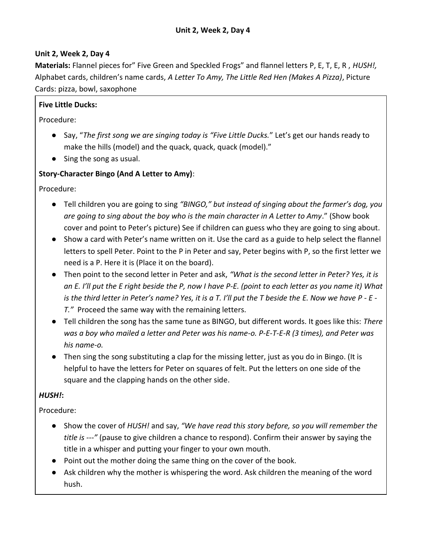**Materials:** Flannel pieces for" Five Green and Speckled Frogs" and flannel letters P, E, T, E, R , *HUSH!,* Alphabet cards, children's name cards, *A Letter To Amy, The Little Red Hen (Makes A Pizza)*, Picture Cards: pizza, bowl, saxophone

## **Five Little Ducks:**

Procedure:

- Say, "*The first song we are singing today is "Five Little Ducks.*" Let's get our hands ready to make the hills (model) and the quack, quack, quack (model)."
- Sing the song as usual.

## **Story-Character Bingo (And A Letter to Amy)**:

Procedure:

- Tell children you are going to sing *"BINGO," but instead of singing about the farmer's dog, you are going to sing about the boy who is the main character in A Letter to Amy*." (Show book cover and point to Peter's picture) See if children can guess who they are going to sing about.
- Show a card with Peter's name written on it. Use the card as a guide to help select the flannel letters to spell Peter. Point to the P in Peter and say, Peter begins with P, so the first letter we need is a P. Here it is (Place it on the board).
- Then point to the second letter in Peter and ask, *"What is the second letter in Peter? Yes, it is an E. I'll put the E right beside the P, now I have P-E. (point to each letter as you name it) What is the third letter in Peter's name? Yes, it is a T. I'll put the T beside the E. Now we have P - E - T."* Proceed the same way with the remaining letters.
- Tell children the song has the same tune as BINGO, but different words. It goes like this: *There was a boy who mailed a letter and Peter was his name-o. P-E-T-E-R (3 times), and Peter was his name-o.*
- Then sing the song substituting a clap for the missing letter, just as you do in Bingo. (It is helpful to have the letters for Peter on squares of felt. Put the letters on one side of the square and the clapping hands on the other side.

# *HUSH!***:**

- Show the cover of *HUSH!* and say, *"We have read this story before, so you will remember the title is ---"* (pause to give children a chance to respond). Confirm their answer by saying the title in a whisper and putting your finger to your own mouth.
- Point out the mother doing the same thing on the cover of the book.
- Ask children why the mother is whispering the word. Ask children the meaning of the word hush.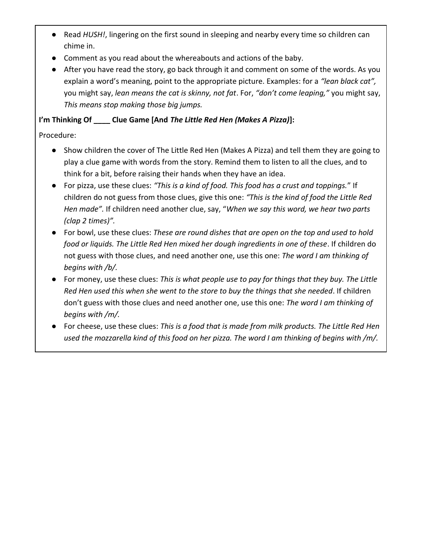- Read *HUSH!*, lingering on the first sound in sleeping and nearby every time so children can chime in.
- Comment as you read about the whereabouts and actions of the baby.
- After you have read the story, go back through it and comment on some of the words. As you explain a word's meaning, point to the appropriate picture. Examples: for a *"lean black cat",*  you might say, *lean means the cat is skinny, not fat*. For, *"don't come leaping,"* you might say, *This means stop making those big jumps.*

# **I'm Thinking Of \_\_\_\_ Clue Game [And** *The Little Red Hen (Makes A Pizza)***]:**

- Show children the cover of The Little Red Hen (Makes A Pizza) and tell them they are going to play a clue game with words from the story. Remind them to listen to all the clues, and to think for a bit, before raising their hands when they have an idea.
- For pizza, use these clues: *"This is a kind of food. This food has a crust and toppings.*" If children do not guess from those clues, give this one: *"This is the kind of food the Little Red Hen made".* If children need another clue, say, "*When we say this word, we hear two parts (clap 2 times)".*
- For bowl, use these clues: *These are round dishes that are open on the top and used to hold food or liquids. The Little Red Hen mixed her dough ingredients in one of these*. If children do not guess with those clues, and need another one, use this one: *The word I am thinking of begins with /b/.*
- For money, use these clues: *This is what people use to pay for things that they buy. The Little Red Hen used this when she went to the store to buy the things that she needed*. If children don't guess with those clues and need another one, use this one: *The word I am thinking of begins with /m/.*
- For cheese, use these clues: *This is a food that is made from milk products. The Little Red Hen used the mozzarella kind of this food on her pizza. The word I am thinking of begins with /m/.*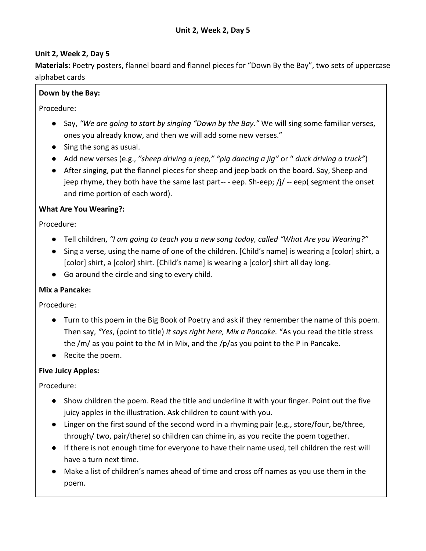**Materials:** Poetry posters, flannel board and flannel pieces for "Down By the Bay", two sets of uppercase alphabet cards

## **Down by the Bay:**

Procedure:

- Say, *"We are going to start by singing "Down by the Bay."* We will sing some familiar verses, ones you already know, and then we will add some new verses."
- Sing the song as usual.
- Add new verses (e.g., *"sheep driving a jeep," "pig dancing a jig"* or " *duck driving a truck"*)
- After singing, put the flannel pieces for sheep and jeep back on the board. Say, Sheep and jeep rhyme, they both have the same last part---eep. Sh-eep;  $/j$  --eep( segment the onset and rime portion of each word).

## **What Are You Wearing?:**

Procedure:

- Tell children, *"I am going to teach you a new song today, called "What Are you Wearing?"*
- Sing a verse, using the name of one of the children. [Child's name] is wearing a [color] shirt, a [color] shirt, a [color] shirt. [Child's name] is wearing a [color] shirt all day long.
- Go around the circle and sing to every child.

## **Mix a Pancake:**

Procedure:

- Turn to this poem in the Big Book of Poetry and ask if they remember the name of this poem. Then say, *"Yes*, (point to title) *it says right here, Mix a Pancake.* "As you read the title stress the /m/ as you point to the M in Mix, and the /p/as you point to the P in Pancake.
- Recite the poem.

## **Five Juicy Apples:**

- Show children the poem. Read the title and underline it with your finger. Point out the five juicy apples in the illustration. Ask children to count with you.
- Linger on the first sound of the second word in a rhyming pair (e.g., store/four, be/three, through/ two, pair/there) so children can chime in, as you recite the poem together.
- If there is not enough time for everyone to have their name used, tell children the rest will have a turn next time.
- Make a list of children's names ahead of time and cross off names as you use them in the poem.